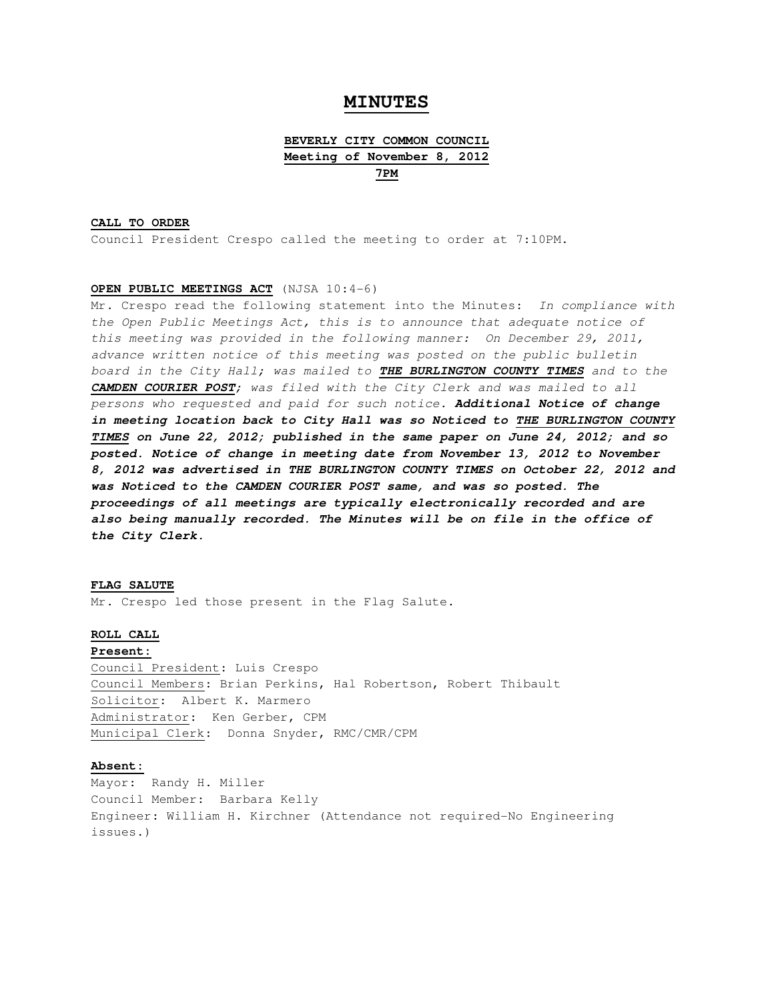# **MINUTES**

# **BEVERLY CITY COMMON COUNCIL Meeting of November 8, 2012 7PM**

## **CALL TO ORDER**

Council President Crespo called the meeting to order at 7:10PM.

## **OPEN PUBLIC MEETINGS ACT** (NJSA 10:4-6)

Mr. Crespo read the following statement into the Minutes: In compliance with the Open Public Meetings Act, this is to announce that adequate notice of this meeting was provided in the following manner: On December 29, 2011, advance written notice of this meeting was posted on the public bulletin board in the City Hall; was mailed to **THE BURLINGTON COUNTY TIMES** and to the **CAMDEN COURIER POST**; was filed with the City Clerk and was mailed to all persons who requested and paid for such notice. **Additional Notice of change in meeting location back to City Hall was so Noticed to THE BURLINGTON COUNTY TIMES on June 22, 2012; published in the same paper on June 24, 2012; and so posted. Notice of change in meeting date from November 13, 2012 to November 8, 2012 was advertised in THE BURLINGTON COUNTY TIMES on October 22, 2012 and was Noticed to the CAMDEN COURIER POST same, and was so posted. The proceedings of all meetings are typically electronically recorded and are also being manually recorded. The Minutes will be on file in the office of the City Clerk.** 

#### **FLAG SALUTE**

Mr. Crespo led those present in the Flag Salute.

## **ROLL CALL**

#### **Present:**

Council President: Luis Crespo Council Members: Brian Perkins, Hal Robertson, Robert Thibault Solicitor: Albert K. Marmero Administrator: Ken Gerber, CPM Municipal Clerk: Donna Snyder, RMC/CMR/CPM

## **Absent:**

Mayor: Randy H. Miller Council Member: Barbara Kelly Engineer: William H. Kirchner (Attendance not required-No Engineering issues.)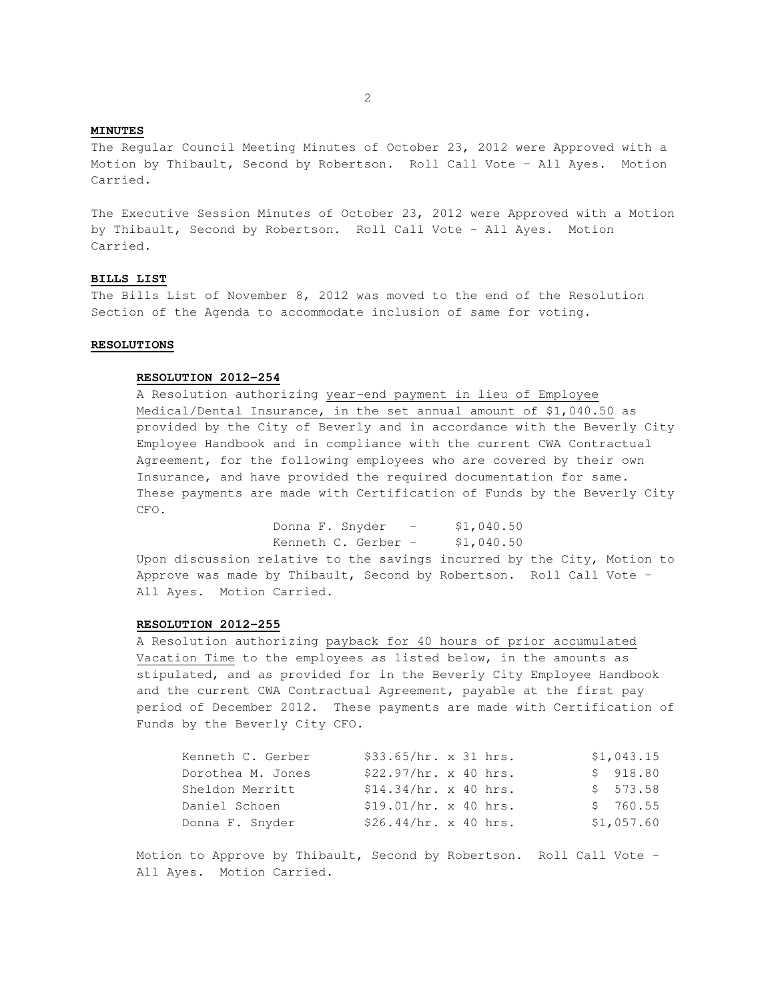## **MINUTES**

The Regular Council Meeting Minutes of October 23, 2012 were Approved with a Motion by Thibault, Second by Robertson. Roll Call Vote – All Ayes. Motion Carried.

The Executive Session Minutes of October 23, 2012 were Approved with a Motion by Thibault, Second by Robertson. Roll Call Vote – All Ayes. Motion Carried.

## **BILLS LIST**

The Bills List of November 8, 2012 was moved to the end of the Resolution Section of the Agenda to accommodate inclusion of same for voting.

## **RESOLUTIONS**

## **RESOLUTION 2012-254**

A Resolution authorizing year-end payment in lieu of Employee Medical/Dental Insurance, in the set annual amount of \$1,040.50 as provided by the City of Beverly and in accordance with the Beverly City Employee Handbook and in compliance with the current CWA Contractual Agreement, for the following employees who are covered by their own Insurance, and have provided the required documentation for same. These payments are made with Certification of Funds by the Beverly City CFO.

> Donna F. Snyder - \$1,040.50 Kenneth C. Gerber  $-$  \$1,040.50

 Upon discussion relative to the savings incurred by the City, Motion to Approve was made by Thibault, Second by Robertson. Roll Call Vote – All Ayes. Motion Carried.

## **RESOLUTION 2012-255**

 A Resolution authorizing payback for 40 hours of prior accumulated Vacation Time to the employees as listed below, in the amounts as stipulated, and as provided for in the Beverly City Employee Handbook and the current CWA Contractual Agreement, payable at the first pay period of December 2012. These payments are made with Certification of Funds by the Beverly City CFO.

| Kenneth C. Gerber | \$33.65/hr. x 31 hrs. |  | \$1,043.15       |
|-------------------|-----------------------|--|------------------|
| Dorothea M. Jones | \$22.97/hr. x 40 hrs. |  | \$918.80         |
| Sheldon Merritt   | \$14.34/hr. x 40 hrs. |  | $5 \quad 573.58$ |
| Daniel Schoen     | \$19.01/hr. x 40 hrs. |  | \$760.55         |
| Donna F. Snyder   | \$26.44/hr. x 40 hrs. |  | \$1,057.60       |

 Motion to Approve by Thibault, Second by Robertson. Roll Call Vote – All Ayes. Motion Carried.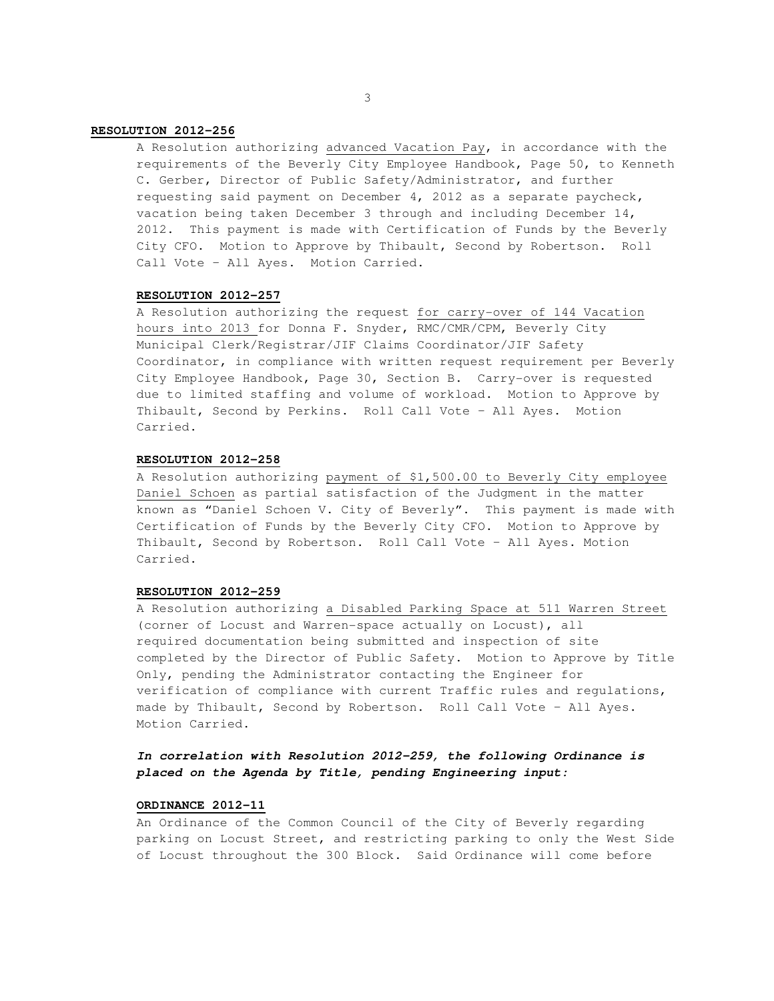## **RESOLUTION 2012-256**

 A Resolution authorizing advanced Vacation Pay, in accordance with the requirements of the Beverly City Employee Handbook, Page 50, to Kenneth C. Gerber, Director of Public Safety/Administrator, and further requesting said payment on December 4, 2012 as a separate paycheck, vacation being taken December 3 through and including December 14, 2012. This payment is made with Certification of Funds by the Beverly City CFO. Motion to Approve by Thibault, Second by Robertson. Roll Call Vote – All Ayes. Motion Carried.

#### **RESOLUTION 2012-257**

 A Resolution authorizing the request for carry-over of 144 Vacation hours into 2013 for Donna F. Snyder, RMC/CMR/CPM, Beverly City Municipal Clerk/Registrar/JIF Claims Coordinator/JIF Safety Coordinator, in compliance with written request requirement per Beverly City Employee Handbook, Page 30, Section B. Carry-over is requested due to limited staffing and volume of workload. Motion to Approve by Thibault, Second by Perkins. Roll Call Vote – All Ayes. Motion Carried.

## **RESOLUTION 2012-258**

 A Resolution authorizing payment of \$1,500.00 to Beverly City employee Daniel Schoen as partial satisfaction of the Judgment in the matter known as "Daniel Schoen V. City of Beverly". This payment is made with Certification of Funds by the Beverly City CFO. Motion to Approve by Thibault, Second by Robertson. Roll Call Vote – All Ayes. Motion Carried.

## **RESOLUTION 2012-259**

 A Resolution authorizing a Disabled Parking Space at 511 Warren Street (corner of Locust and Warren-space actually on Locust), all required documentation being submitted and inspection of site completed by the Director of Public Safety. Motion to Approve by Title Only, pending the Administrator contacting the Engineer for verification of compliance with current Traffic rules and regulations, made by Thibault, Second by Robertson. Roll Call Vote – All Ayes. Motion Carried.

## **In correlation with Resolution 2012-259, the following Ordinance is placed on the Agenda by Title, pending Engineering input:**

## **ORDINANCE 2012-11**

 An Ordinance of the Common Council of the City of Beverly regarding parking on Locust Street, and restricting parking to only the West Side of Locust throughout the 300 Block. Said Ordinance will come before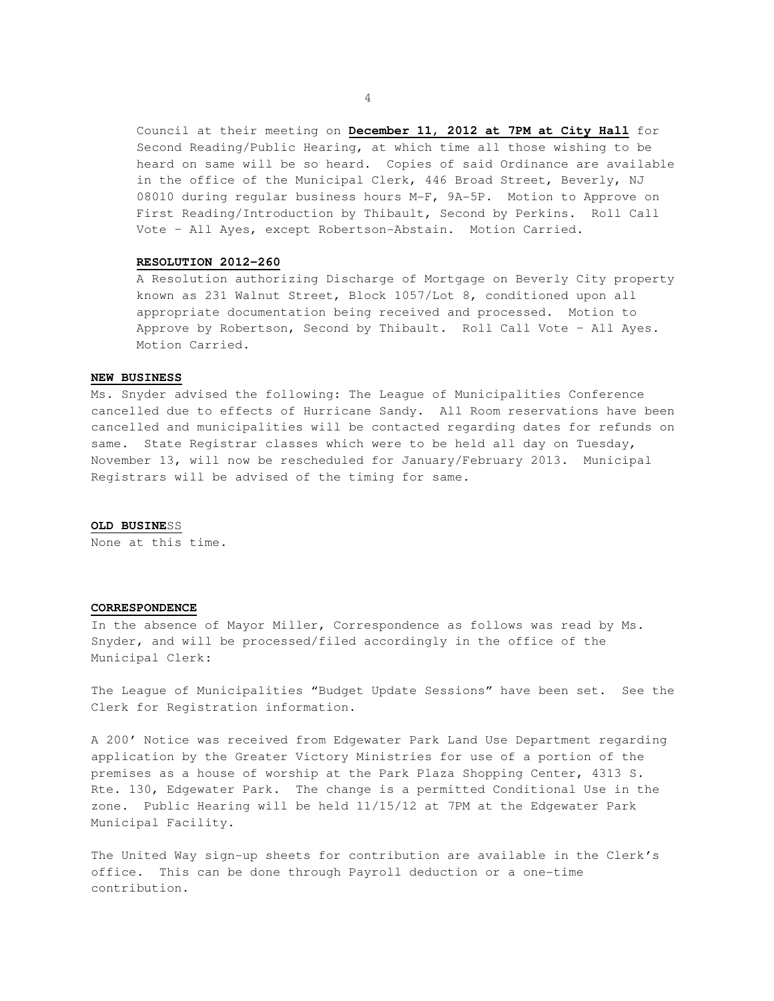Council at their meeting on **December 11, 2012 at 7PM at City Hall** for Second Reading/Public Hearing, at which time all those wishing to be heard on same will be so heard. Copies of said Ordinance are available in the office of the Municipal Clerk, 446 Broad Street, Beverly, NJ 08010 during regular business hours M-F, 9A-5P. Motion to Approve on First Reading/Introduction by Thibault, Second by Perkins. Roll Call Vote – All Ayes, except Robertson-Abstain. Motion Carried.

#### **RESOLUTION 2012-260**

 A Resolution authorizing Discharge of Mortgage on Beverly City property known as 231 Walnut Street, Block 1057/Lot 8, conditioned upon all appropriate documentation being received and processed. Motion to Approve by Robertson, Second by Thibault. Roll Call Vote – All Ayes. Motion Carried.

#### **NEW BUSINESS**

Ms. Snyder advised the following: The League of Municipalities Conference cancelled due to effects of Hurricane Sandy. All Room reservations have been cancelled and municipalities will be contacted regarding dates for refunds on same. State Registrar classes which were to be held all day on Tuesday, November 13, will now be rescheduled for January/February 2013. Municipal Registrars will be advised of the timing for same.

#### **OLD BUSINE**SS

None at this time.

## **CORRESPONDENCE**

In the absence of Mayor Miller, Correspondence as follows was read by Ms. Snyder, and will be processed/filed accordingly in the office of the Municipal Clerk:

The League of Municipalities "Budget Update Sessions" have been set. See the Clerk for Registration information.

A 200' Notice was received from Edgewater Park Land Use Department regarding application by the Greater Victory Ministries for use of a portion of the premises as a house of worship at the Park Plaza Shopping Center, 4313 S. Rte. 130, Edgewater Park. The change is a permitted Conditional Use in the zone. Public Hearing will be held 11/15/12 at 7PM at the Edgewater Park Municipal Facility.

The United Way sign-up sheets for contribution are available in the Clerk's office. This can be done through Payroll deduction or a one-time contribution.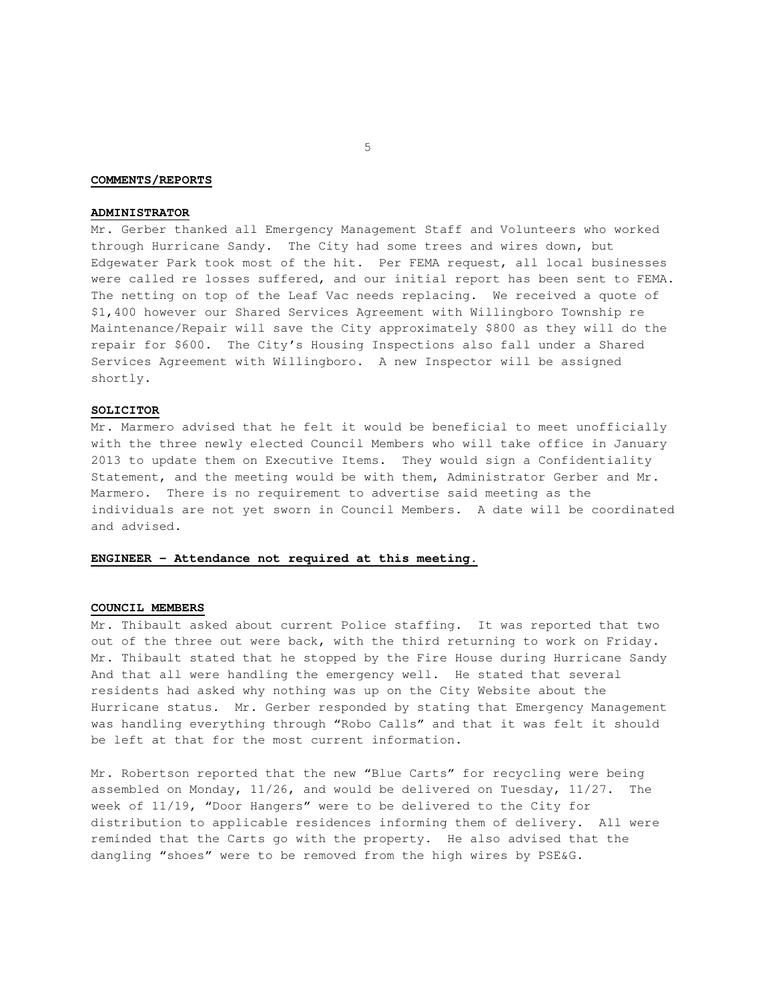#### **COMMENTS/REPORTS**

#### **ADMINISTRATOR**

Mr. Gerber thanked all Emergency Management Staff and Volunteers who worked through Hurricane Sandy. The City had some trees and wires down, but Edgewater Park took most of the hit. Per FEMA request, all local businesses were called re losses suffered, and our initial report has been sent to FEMA. The netting on top of the Leaf Vac needs replacing. We received a quote of \$1,400 however our Shared Services Agreement with Willingboro Township re Maintenance/Repair will save the City approximately \$800 as they will do the repair for \$600. The City's Housing Inspections also fall under a Shared Services Agreement with Willingboro. A new Inspector will be assigned shortly.

### **SOLICITOR**

Mr. Marmero advised that he felt it would be beneficial to meet unofficially with the three newly elected Council Members who will take office in January 2013 to update them on Executive Items. They would sign a Confidentiality Statement, and the meeting would be with them, Administrator Gerber and Mr. Marmero. There is no requirement to advertise said meeting as the individuals are not yet sworn in Council Members. A date will be coordinated and advised.

## **ENGINEER – Attendance not required at this meeting.**

## **COUNCIL MEMBERS**

Mr. Thibault asked about current Police staffing. It was reported that two out of the three out were back, with the third returning to work on Friday. Mr. Thibault stated that he stopped by the Fire House during Hurricane Sandy And that all were handling the emergency well. He stated that several residents had asked why nothing was up on the City Website about the Hurricane status. Mr. Gerber responded by stating that Emergency Management was handling everything through "Robo Calls" and that it was felt it should be left at that for the most current information.

Mr. Robertson reported that the new "Blue Carts" for recycling were being assembled on Monday, 11/26, and would be delivered on Tuesday, 11/27. The week of 11/19, "Door Hangers" were to be delivered to the City for distribution to applicable residences informing them of delivery. All were reminded that the Carts go with the property. He also advised that the dangling "shoes" were to be removed from the high wires by PSE&G.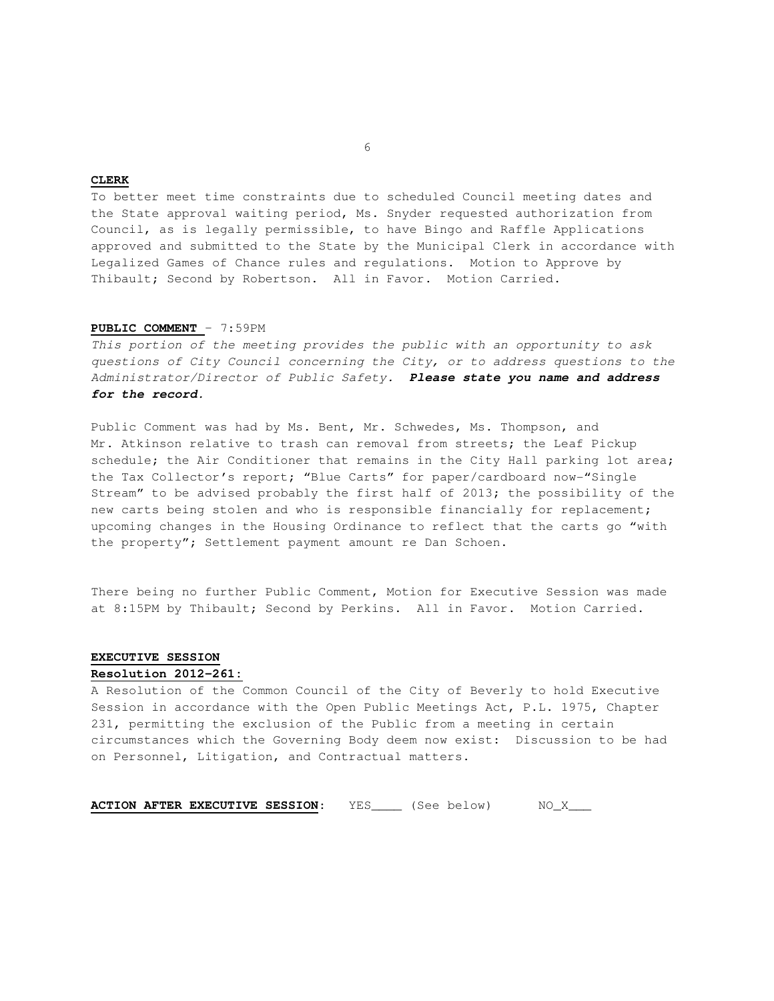## **CLERK**

To better meet time constraints due to scheduled Council meeting dates and the State approval waiting period, Ms. Snyder requested authorization from Council, as is legally permissible, to have Bingo and Raffle Applications approved and submitted to the State by the Municipal Clerk in accordance with Legalized Games of Chance rules and regulations. Motion to Approve by Thibault; Second by Robertson. All in Favor. Motion Carried.

## **PUBLIC COMMENT** – 7:59PM

This portion of the meeting provides the public with an opportunity to ask questions of City Council concerning the City, or to address questions to the Administrator/Director of Public Safety. **Please state you name and address for the record.** 

Public Comment was had by Ms. Bent, Mr. Schwedes, Ms. Thompson, and Mr. Atkinson relative to trash can removal from streets; the Leaf Pickup schedule; the Air Conditioner that remains in the City Hall parking lot area; the Tax Collector's report; "Blue Carts" for paper/cardboard now-"Single Stream" to be advised probably the first half of 2013; the possibility of the new carts being stolen and who is responsible financially for replacement; upcoming changes in the Housing Ordinance to reflect that the carts go "with the property"; Settlement payment amount re Dan Schoen.

There being no further Public Comment, Motion for Executive Session was made at 8:15PM by Thibault; Second by Perkins. All in Favor. Motion Carried.

# **EXECUTIVE SESSION**

# **Resolution 2012-261:**

A Resolution of the Common Council of the City of Beverly to hold Executive Session in accordance with the Open Public Meetings Act, P.L. 1975, Chapter 231, permitting the exclusion of the Public from a meeting in certain circumstances which the Governing Body deem now exist: Discussion to be had on Personnel, Litigation, and Contractual matters.

**ACTION AFTER EXECUTIVE SESSION:** YES\_\_\_\_ (See below) MO\_X\_\_\_

 $\sim$  6